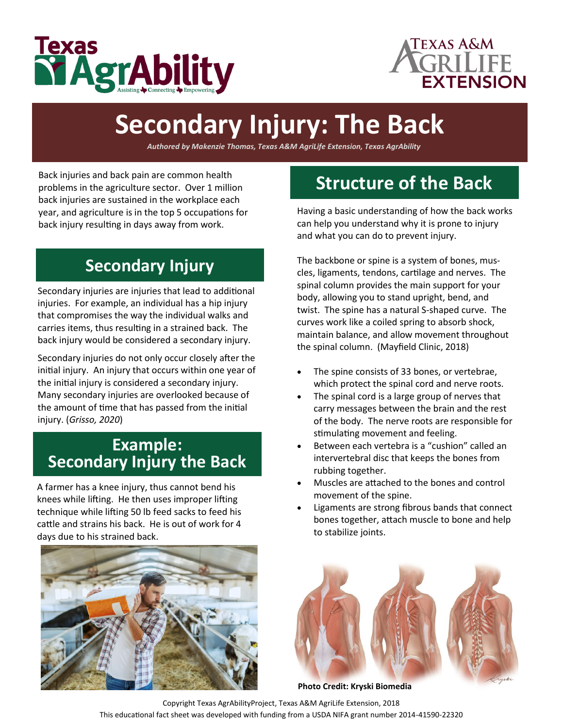



# **Secondary Injury: The Back**

*Authored by Makenzie Thomas, Texas A&M AgriLife Extension, Texas AgrAbility*

 problems in the agriculture sector. Over 1 million Back injuries and back pain are common health back injuries are sustained in the workplace each year, and agriculture is in the top 5 occupations for back injury resulting in days away from work.

### **Secondary Injury**

Secondary injuries are injuries that lead to additional injuries. For example, an individual has a hip injury that compromises the way the individual walks and carries items, thus resulting in a strained back. The back injury would be considered a secondary injury.

 initial injury. An injury that occurs within one year of Secondary injuries do not only occur closely after the the initial injury is considered a secondary injury. Many secondary injuries are overlooked because of the amount of time that has passed from the initial injury. (*Grisso, 2020*)

#### **Example: Secondary Injury the Back**

A farmer has a knee injury, thus cannot bend his knees while lifting. He then uses improper lifting technique while lifting 50 lb feed sacks to feed his cattle and strains his back. He is out of work for 4 days due to his strained back.



# **Structure of the Back**

Having a basic understanding of how the back works can help you understand why it is prone to injury and what you can do to prevent injury.

The backbone or spine is a system of bones, muscles, ligaments, tendons, cartilage and nerves. The spinal column provides the main support for your body, allowing you to stand upright, bend, and twist. The spine has a natural S-shaped curve. The curves work like a coiled spring to absorb shock, maintain balance, and allow movement throughout the spinal column. (Mayfield Clinic, 2018)

- which protect the spinal cord and nerve roots. The spine consists of 33 bones, or vertebrae,
- The spinal cord is a large group of nerves that carry messages between the brain and the rest of the body. The nerve roots are responsible for stimulating movement and feeling.
- Between each vertebra is a "cushion" called an intervertebral disc that keeps the bones from rubbing together.
- Muscles are attached to the bones and control movement of the spine.
- Ligaments are strong fibrous bands that connect bones together, attach muscle to bone and help to stabilize joints.



**Photo Credit: Kryski Biomedia**

Copyright Texas AgrAbilityProject, Texas A&M AgriLife Extension, 2018 This educational fact sheet was developed with funding from a USDA NIFA grant number 2014-41590-22320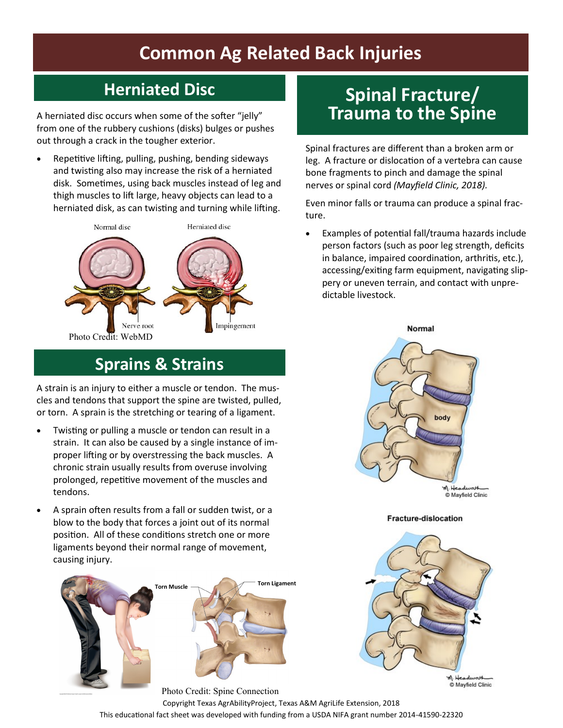# **Common Ag Related Back Injuries**

# **Herniated Disc**

 out through a crack in the tougher exterior. A herniated disc occurs when some of the softer "jelly" from one of the rubbery cushions (disks) bulges or pushes

Repetitive lifting, pulling, pushing, bending sideways and twisting also may increase the risk of a herniated disk. Sometimes, using back muscles instead of leg and thigh muscles to lift large, heavy objects can lead to a herniated disk, as can twisting and turning while lifting.



# **Sprains & Strains**

A strain is an injury to either a muscle or tendon. The muscles and tendons that support the spine are twisted, pulled, or torn. A sprain is the stretching or tearing of a ligament.

- proper lifting or by overstressing the back muscles. A Twisting or pulling a muscle or tendon can result in a strain. It can also be caused by a single instance of imchronic strain usually results from overuse involving prolonged, repetitive movement of the muscles and tendons.
- blow to the body that forces a joint out of its normal position. All of these conditions stretch one or more • A sprain often results from a fall or sudden twist, or a ligaments beyond their normal range of movement, causing injury.



## **Spinal Fracture/ Trauma to the Spine**

Spinal fractures are different than a broken arm or leg. A fracture or dislocation of a vertebra can cause bone fragments to pinch and damage the spinal nerves or spinal cord *(Mayfield Clinic, 2018).* 

Even minor falls or trauma can produce a spinal fracture.

• Examples of potential fall/trauma hazards include person factors (such as poor leg strength, deficits in balance, impaired coordination, arthritis, etc.), accessing/exiting farm equipment, navigating slippery or uneven terrain, and contact with unpredictable livestock.



Mayfield Clinic

**Fracture-dislocation** 



M. Headwast Mayfield Clinic

Photo Credit: Spine Connection Copyright Texas AgrAbilityProject, Texas A&M AgriLife Extension, 2018 This educational fact sheet was developed with funding from a USDA NIFA grant number 2014-41590-22320